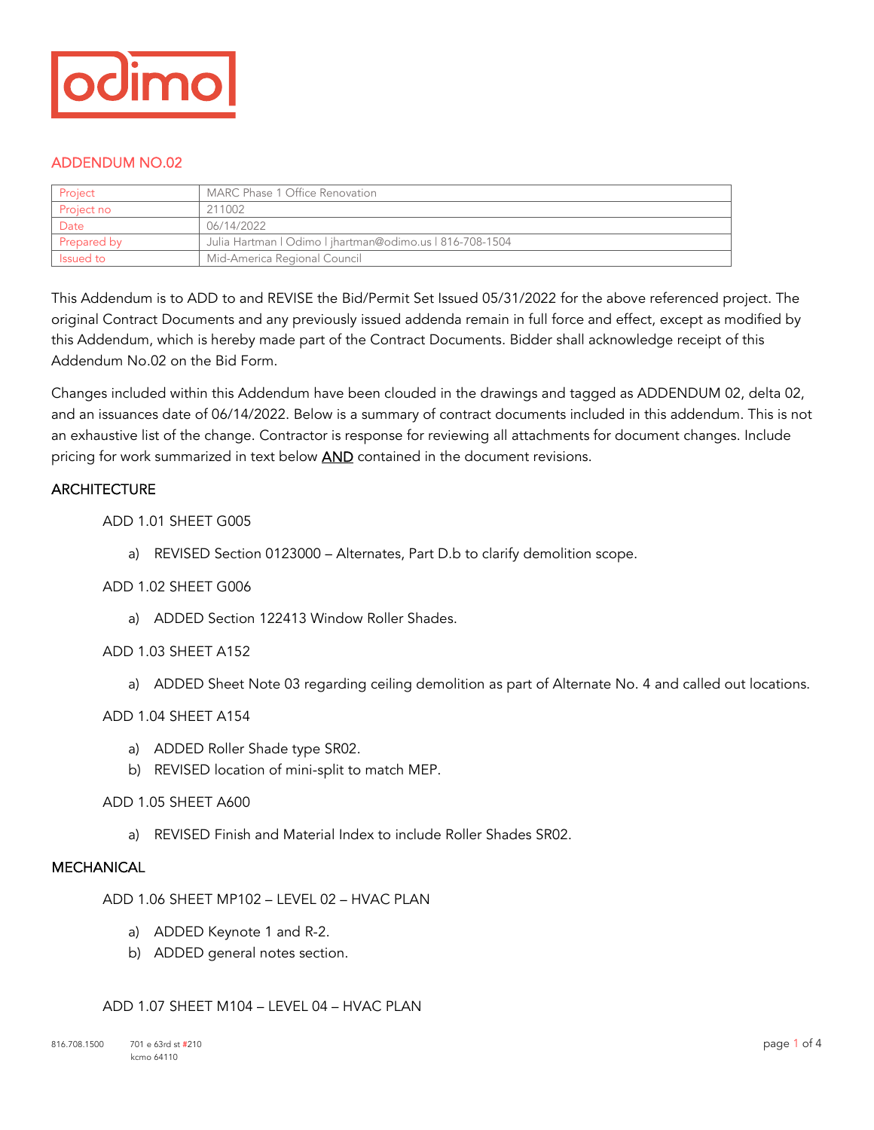

## ADDENDUM NO.02

| Project     | MARC Phase 1 Office Renovation                           |
|-------------|----------------------------------------------------------|
| Project no  | 211002                                                   |
| Date        | 06/14/2022                                               |
| Prepared by | Julia Hartman   Odimo   jhartman@odimo.us   816-708-1504 |
| Issued to   | Mid-America Regional Council                             |

This Addendum is to ADD to and REVISE the Bid/Permit Set Issued 05/31/2022 for the above referenced project. The original Contract Documents and any previously issued addenda remain in full force and effect, except as modified by this Addendum, which is hereby made part of the Contract Documents. Bidder shall acknowledge receipt of this Addendum No.02 on the Bid Form.

Changes included within this Addendum have been clouded in the drawings and tagged as ADDENDUM 02, delta 02, and an issuances date of 06/14/2022. Below is a summary of contract documents included in this addendum. This is not an exhaustive list of the change. Contractor is response for reviewing all attachments for document changes. Include pricing for work summarized in text below **AND** contained in the document revisions.

## **ARCHITECTURE**

## ADD 1.01 SHEET G005

a) REVISED Section 0123000 – Alternates, Part D.b to clarify demolition scope.

#### ADD 1.02 SHEET G006

a) ADDED Section 122413 Window Roller Shades.

#### ADD 1.03 SHEET A152

a) ADDED Sheet Note 03 regarding ceiling demolition as part of Alternate No. 4 and called out locations.

## ADD 1.04 SHEET A154

- a) ADDED Roller Shade type SR02.
- b) REVISED location of mini-split to match MEP.

#### ADD 1.05 SHEET A600

a) REVISED Finish and Material Index to include Roller Shades SR02.

## **MECHANICAL**

ADD 1.06 SHEET MP102 – LEVEL 02 – HVAC PLAN

- a) ADDED Keynote 1 and R-2.
- b) ADDED general notes section.

#### ADD 1.07 SHEET M104 – LEVEL 04 – HVAC PLAN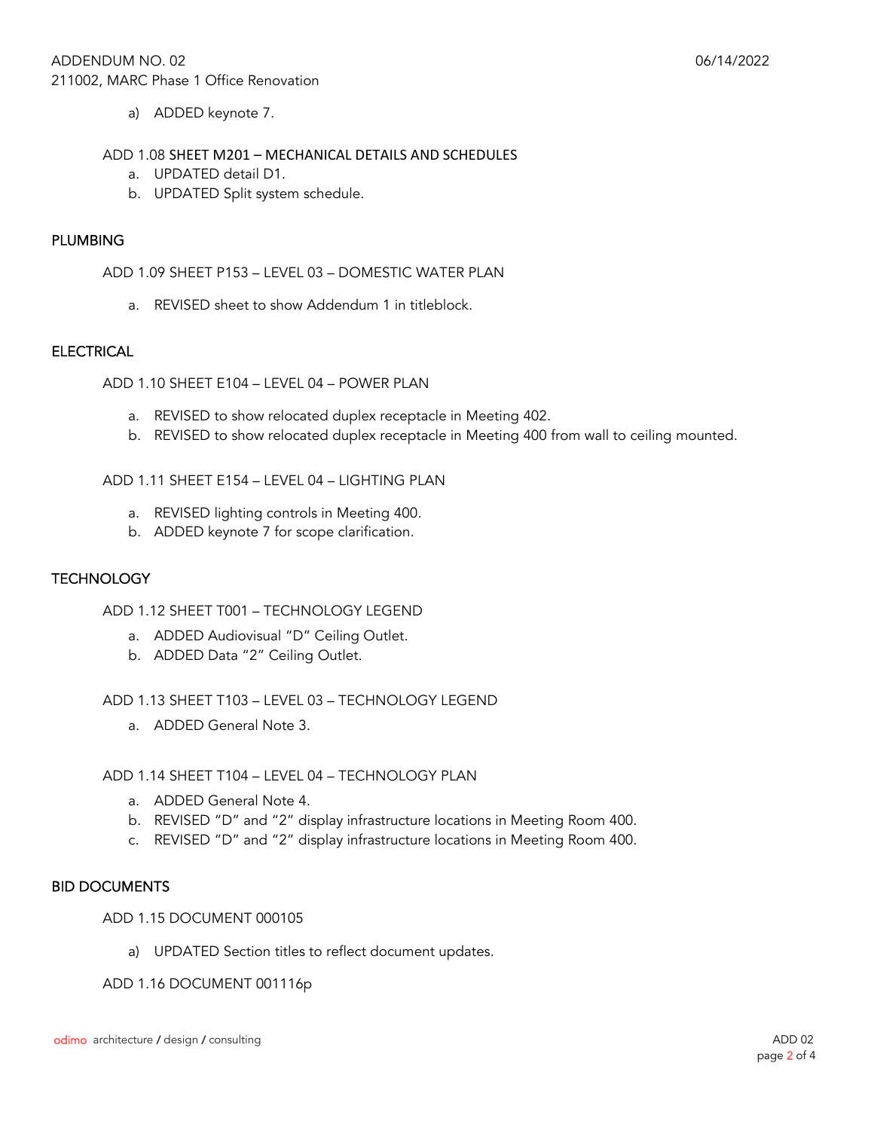a) ADDED keynote 7.

#### ADD 1.08 SHEET M201 – MECHANICAL DETAILS AND SCHEDULES

- a. UPDATED detail D1.
- b. UPDATED Split system schedule.

## PLUMBING

ADD 1.09 SHEET P153 – LEVEL 03 – DOMESTIC WATER PLAN

a. REVISED sheet to show Addendum 1 in titleblock.

#### **ELECTRICAL**

ADD 1.10 SHEET E104 – LEVEL 04 – POWER PLAN

- a. REVISED to show relocated duplex receptacle in Meeting 402.
- b. REVISED to show relocated duplex receptacle in Meeting 400 from wall to ceiling mounted.

ADD 1.11 SHEET E154 – LEVEL 04 – LIGHTING PLAN

- a. REVISED lighting controls in Meeting 400.
- b. ADDED keynote 7 for scope clarification.

## **TECHNOLOGY**

ADD 1.12 SHEET T001 – TECHNOLOGY LEGEND

- a. ADDED Audiovisual "D" Ceiling Outlet.
- b. ADDED Data "2" Ceiling Outlet.

ADD 1.13 SHEET T103 – LEVEL 03 – TECHNOLOGY LEGEND

a. ADDED General Note 3.

ADD 1.14 SHEET T104 – LEVEL 04 – TECHNOLOGY PLAN

- a. ADDED General Note 4.
- b. REVISED "D" and "2" display infrastructure locations in Meeting Room 400.
- c. REVISED "D" and "2" display infrastructure locations in Meeting Room 400.

## BID DOCUMENTS

ADD 1.15 DOCUMENT 000105

a) UPDATED Section titles to reflect document updates.

ADD 1.16 DOCUMENT 001116p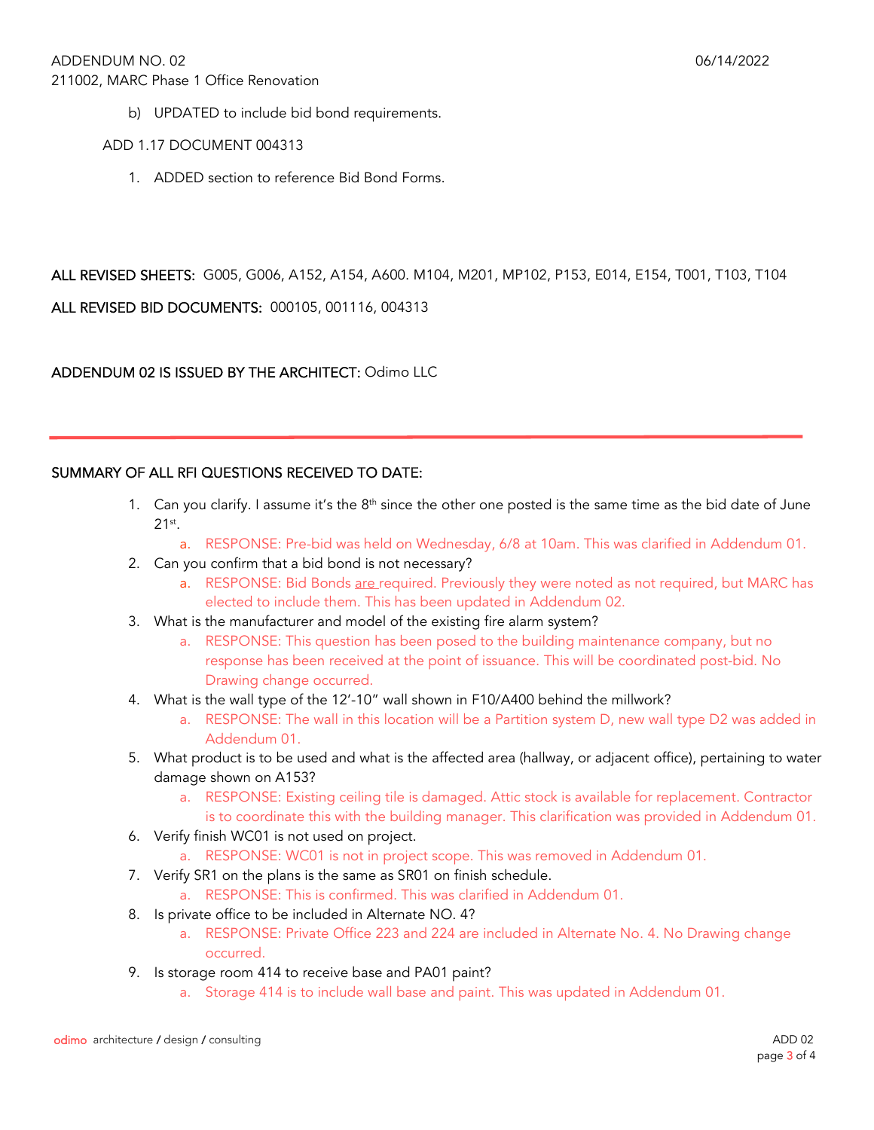b) UPDATED to include bid bond requirements.

ADD 1.17 DOCUMENT 004313

1. ADDED section to reference Bid Bond Forms.

ALL REVISED SHEETS: G005, G006, A152, A154, A600. M104, M201, MP102, P153, E014, E154, T001, T103, T104

ALL REVISED BID DOCUMENTS: 000105, 001116, 004313

ADDENDUM 02 IS ISSUED BY THE ARCHITECT: Odimo LLC

# SUMMARY OF ALL RFI QUESTIONS RECEIVED TO DATE:

- 1. Can you clarify. I assume it's the  $8<sup>th</sup>$  since the other one posted is the same time as the bid date of June  $21$ <sup>st</sup>.
	- a. RESPONSE: Pre-bid was held on Wednesday, 6/8 at 10am. This was clarified in Addendum 01.
- 2. Can you confirm that a bid bond is not necessary?
	- a. RESPONSE: Bid Bonds are required. Previously they were noted as not required, but MARC has elected to include them. This has been updated in Addendum 02.
- 3. What is the manufacturer and model of the existing fire alarm system?
	- a. RESPONSE: This question has been posed to the building maintenance company, but no response has been received at the point of issuance. This will be coordinated post-bid. No Drawing change occurred.
- 4. What is the wall type of the 12'-10" wall shown in F10/A400 behind the millwork?
	- a. RESPONSE: The wall in this location will be a Partition system D, new wall type D2 was added in Addendum 01.
- 5. What product is to be used and what is the affected area (hallway, or adjacent office), pertaining to water damage shown on A153?
	- a. RESPONSE: Existing ceiling tile is damaged. Attic stock is available for replacement. Contractor is to coordinate this with the building manager. This clarification was provided in Addendum 01.
- 6. Verify finish WC01 is not used on project.
	- a. RESPONSE: WC01 is not in project scope. This was removed in Addendum 01.
- 7. Verify SR1 on the plans is the same as SR01 on finish schedule.
	- a. RESPONSE: This is confirmed. This was clarified in Addendum 01.
- 8. Is private office to be included in Alternate NO. 4?
	- a. RESPONSE: Private Office 223 and 224 are included in Alternate No. 4. No Drawing change occurred.
- 9. Is storage room 414 to receive base and PA01 paint?
	- a. Storage 414 is to include wall base and paint. This was updated in Addendum 01.